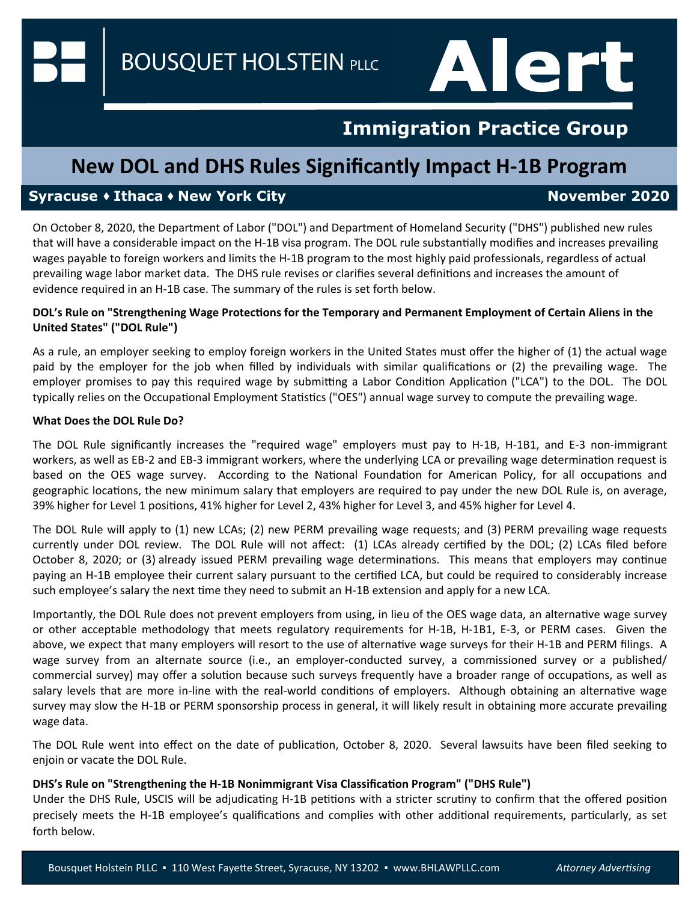**BOUSQUET HOLSTEIN PLLC** 

# **Immigration Practice Group**

Alert

### **New DOL and DHS Rules Significantly Impact H‐1B Program**

### **Syracuse ◆ Ithaca ◆ New York City November 2020**

On October 8, 2020, the Department of Labor ("DOL") and Department of Homeland Security ("DHS") published new rules that will have a considerable impact on the H-1B visa program. The DOL rule substantially modifies and increases prevailing wages payable to foreign workers and limits the H‐1B program to the most highly paid professionals, regardless of actual prevailing wage labor market data. The DHS rule revises or clarifies several definitions and increases the amount of evidence required in an H‐1B case. The summary of the rules is set forth below.

#### **DOL's Rule on "Strengthening Wage ProtecƟons for the Temporary and Permanent Employment of Certain Aliens in the United States" ("DOL Rule")**

As a rule, an employer seeking to employ foreign workers in the United States must offer the higher of (1) the actual wage paid by the employer for the job when filled by individuals with similar qualifications or (2) the prevailing wage. The employer promises to pay this required wage by submitting a Labor Condition Application ("LCA") to the DOL. The DOL typically relies on the Occupational Employment Statistics ("OES") annual wage survey to compute the prevailing wage.

#### **What Does the DOL Rule Do?**

The DOL Rule significantly increases the "required wage" employers must pay to H-1B, H-1B1, and E-3 non-immigrant workers, as well as EB-2 and EB-3 immigrant workers, where the underlying LCA or prevailing wage determination request is based on the OES wage survey. According to the National Foundation for American Policy, for all occupations and geographic locations, the new minimum salary that employers are required to pay under the new DOL Rule is, on average, 39% higher for Level 1 positions, 41% higher for Level 2, 43% higher for Level 3, and 45% higher for Level 4.

The DOL Rule will apply to (1) new LCAs; (2) new PERM prevailing wage requests; and (3) PERM prevailing wage requests currently under DOL review. The DOL Rule will not affect: (1) LCAs already certified by the DOL; (2) LCAs filed before October 8, 2020; or (3) already issued PERM prevailing wage determinations. This means that employers may continue paying an H-1B employee their current salary pursuant to the certified LCA, but could be required to considerably increase such employee's salary the next time they need to submit an H-1B extension and apply for a new LCA.

Importantly, the DOL Rule does not prevent employers from using, in lieu of the OES wage data, an alternative wage survey or other acceptable methodology that meets regulatory requirements for H‐1B, H‐1B1, E‐3, or PERM cases. Given the above, we expect that many employers will resort to the use of alternative wage surveys for their H-1B and PERM filings. A wage survey from an alternate source (i.e., an employer-conducted survey, a commissioned survey or a published/ commercial survey) may offer a solution because such surveys frequently have a broader range of occupations, as well as salary levels that are more in-line with the real-world conditions of employers. Although obtaining an alternative wage survey may slow the H‐1B or PERM sponsorship process in general, it will likely result in obtaining more accurate prevailing wage data.

The DOL Rule went into effect on the date of publication, October 8, 2020. Several lawsuits have been filed seeking to enjoin or vacate the DOL Rule.

#### **DHS's Rule on "Strengthening the H‐1B Nonimmigrant Visa ClassificaƟon Program" ("DHS Rule")**

Under the DHS Rule, USCIS will be adjudicating H-1B petitions with a stricter scrutiny to confirm that the offered position precisely meets the H-1B employee's qualifications and complies with other additional requirements, particularly, as set forth below.